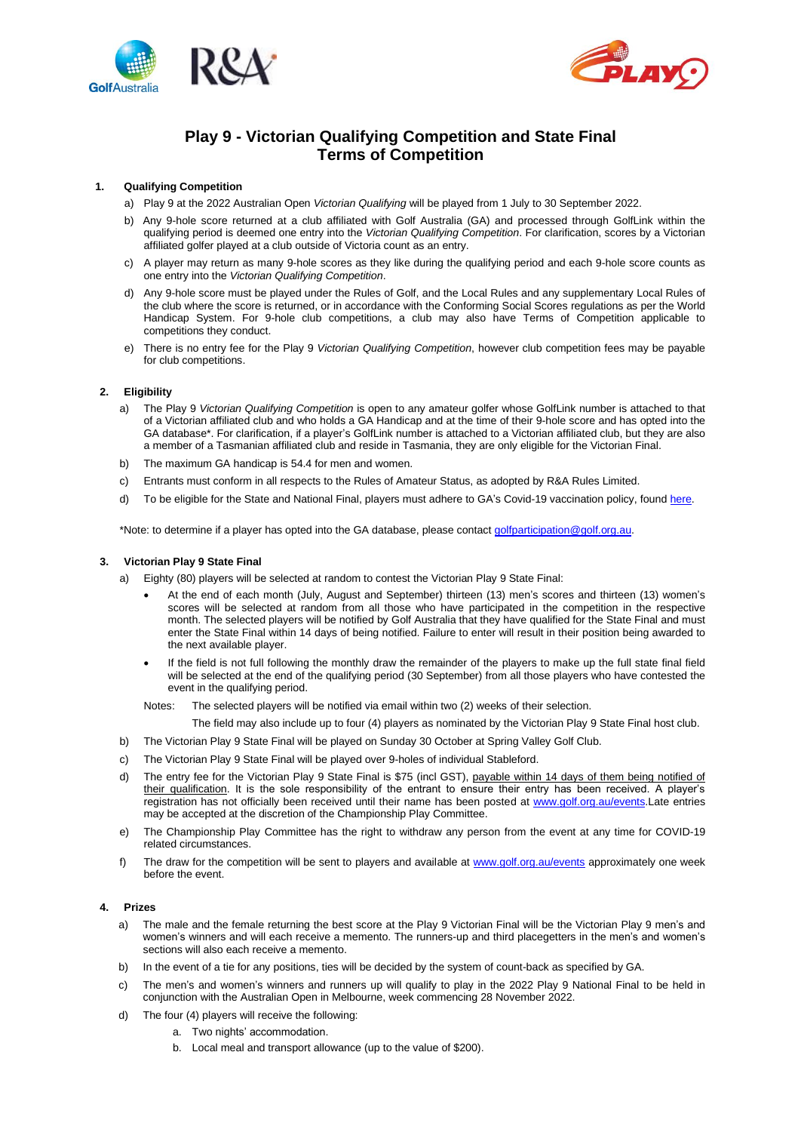



# **Play 9 - Victorian Qualifying Competition and State Final Terms of Competition**

# **1. Qualifying Competition**

- a) Play 9 at the 2022 Australian Open *Victorian Qualifying* will be played from 1 July to 30 September 2022.
- b) Any 9-hole score returned at a club affiliated with Golf Australia (GA) and processed through GolfLink within the qualifying period is deemed one entry into the *Victorian Qualifying Competition*. For clarification, scores by a Victorian affiliated golfer played at a club outside of Victoria count as an entry.
- c) A player may return as many 9-hole scores as they like during the qualifying period and each 9-hole score counts as one entry into the *Victorian Qualifying Competition*.
- d) Any 9-hole score must be played under the Rules of Golf, and the Local Rules and any supplementary Local Rules of the club where the score is returned, or in accordance with the Conforming Social Scores regulations as per the World Handicap System. For 9-hole club competitions, a club may also have Terms of Competition applicable to competitions they conduct.
- e) There is no entry fee for the Play 9 *Victorian Qualifying Competition*, however club competition fees may be payable for club competitions.

# **2. Eligibility**

- a) The Play 9 *Victorian Qualifying Competition* is open to any amateur golfer whose GolfLink number is attached to that of a Victorian affiliated club and who holds a GA Handicap and at the time of their 9-hole score and has opted into the GA database\*. For clarification, if a player's GolfLink number is attached to a Victorian affiliated club, but they are also a member of a Tasmanian affiliated club and reside in Tasmania, they are only eligible for the Victorian Final.
- b) The maximum GA handicap is 54.4 for men and women.
- c) Entrants must conform in all respects to the Rules of Amateur Status, as adopted by R&A Rules Limited.
- d) To be eligible for the State and National Final, players must adhere to GA's Covid-19 vaccination policy, foun[d here.](https://www.golf.org.au/events-statement)

\*Note: to determine if a player has opted into the GA database, please contac[t golfparticipation@golf.org.au.](mailto:golfparticipation@golf.org.au)

# **3. Victorian Play 9 State Final**

- a) Eighty (80) players will be selected at random to contest the Victorian Play 9 State Final:
	- At the end of each month (July, August and September) thirteen (13) men's scores and thirteen (13) women's scores will be selected at random from all those who have participated in the competition in the respective month. The selected players will be notified by Golf Australia that they have qualified for the State Final and must enter the State Final within 14 days of being notified. Failure to enter will result in their position being awarded to the next available player.
	- If the field is not full following the monthly draw the remainder of the players to make up the full state final field will be selected at the end of the qualifying period (30 September) from all those players who have contested the event in the qualifying period.

Notes: The selected players will be notified via email within two (2) weeks of their selection.

- The field may also include up to four (4) players as nominated by the Victorian Play 9 State Final host club.
- b) The Victorian Play 9 State Final will be played on Sunday 30 October at Spring Valley Golf Club.
- c) The Victorian Play 9 State Final will be played over 9-holes of individual Stableford.
- d) The entry fee for the Victorian Play 9 State Final is \$75 (incl GST), payable within 14 days of them being notified of their qualification. It is the sole responsibility of the entrant to ensure their entry has been received. A player's registration has not officially been received until their name has been posted at [www.golf.org.au/](https://aus01.safelinks.protection.outlook.com/?url=http%3A%2F%2Fwww.golf.org.au%2F&data=05%7C01%7C%7Cb80ca4da11004843fa2b08da422b8e64%7Cf83d3d30ab064f058167e9f38978556f%7C0%7C0%7C637895052099210425%7CUnknown%7CTWFpbGZsb3d8eyJWIjoiMC4wLjAwMDAiLCJQIjoiV2luMzIiLCJBTiI6Ik1haWwiLCJXVCI6Mn0%3D%7C3000%7C%7C%7C&sdata=e3GqpzNlY2dhMs2%2FrG8DcYIue9TXUSOKz4mbDGLOwzw%3D&reserved=0)events.Late entries may be accepted at the discretion of the Championship Play Committee.
- e) The Championship Play Committee has the right to withdraw any person from the event at any time for COVID-19 related circumstances.
- f) The draw for the competition will be sent to players and available at [www.golf.org.au/events](http://www.golf.org.au/events) approximately one week before the event.

# **4. Prizes**

- a) The male and the female returning the best score at the Play 9 Victorian Final will be the Victorian Play 9 men's and women's winners and will each receive a memento. The runners-up and third placegetters in the men's and women's sections will also each receive a memento.
- b) In the event of a tie for any positions, ties will be decided by the system of count-back as specified by GA.
- c) The men's and women's winners and runners up will qualify to play in the 2022 Play 9 National Final to be held in conjunction with the Australian Open in Melbourne, week commencing 28 November 2022.
- d) The four (4) players will receive the following:
	- a. Two nights' accommodation.
		- b. Local meal and transport allowance (up to the value of \$200).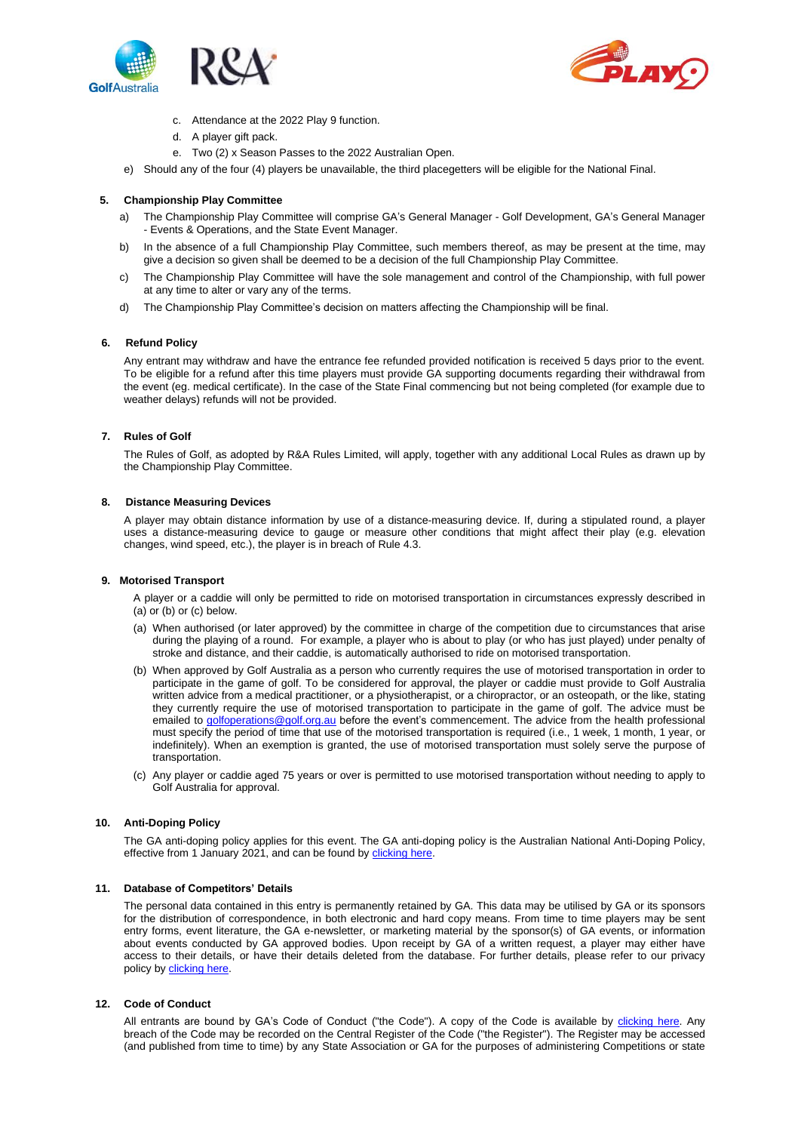



- c. Attendance at the 2022 Play 9 function.
- d. A player gift pack.
- e. Two (2) x Season Passes to the 2022 Australian Open.
- e) Should any of the four (4) players be unavailable, the third placegetters will be eligible for the National Final.

# **5. Championship Play Committee**

- a) The Championship Play Committee will comprise GA's General Manager Golf Development, GA's General Manager - Events & Operations, and the State Event Manager.
- b) In the absence of a full Championship Play Committee, such members thereof, as may be present at the time, may give a decision so given shall be deemed to be a decision of the full Championship Play Committee.
- c) The Championship Play Committee will have the sole management and control of the Championship, with full power at any time to alter or vary any of the terms.
- d) The Championship Play Committee's decision on matters affecting the Championship will be final.

# **6. Refund Policy**

Any entrant may withdraw and have the entrance fee refunded provided notification is received 5 days prior to the event. To be eligible for a refund after this time players must provide GA supporting documents regarding their withdrawal from the event (eg. medical certificate). In the case of the State Final commencing but not being completed (for example due to weather delays) refunds will not be provided.

# **7. Rules of Golf**

The Rules of Golf, as adopted by R&A Rules Limited, will apply, together with any additional Local Rules as drawn up by the Championship Play Committee.

#### **8. Distance Measuring Devices**

A player may obtain distance information by use of a distance-measuring device. If, during a stipulated round, a player uses a distance-measuring device to gauge or measure other conditions that might affect their play (e.g. elevation changes, wind speed, etc.), the player is in breach of Rule 4.3.

# **9. Motorised Transport**

A player or a caddie will only be permitted to ride on motorised transportation in circumstances expressly described in  $(a)$  or  $(b)$  or  $(c)$  below.

- (a) When authorised (or later approved) by the committee in charge of the competition due to circumstances that arise during the playing of a round. For example, a player who is about to play (or who has just played) under penalty of stroke and distance, and their caddie, is automatically authorised to ride on motorised transportation.
- (b) When approved by Golf Australia as a person who currently requires the use of motorised transportation in order to participate in the game of golf. To be considered for approval, the player or caddie must provide to Golf Australia written advice from a medical practitioner, or a physiotherapist, or a chiropractor, or an osteopath, or the like, stating they currently require the use of motorised transportation to participate in the game of golf. The advice must be emailed t[o golfoperations@golf.org.au](mailto:golfoperations@golf.org.au) before the event's commencement. The advice from the health professional must specify the period of time that use of the motorised transportation is required (i.e., 1 week, 1 month, 1 year, or indefinitely). When an exemption is granted, the use of motorised transportation must solely serve the purpose of transportation.
- (c) Any player or caddie aged 75 years or over is permitted to use motorised transportation without needing to apply to Golf Australia for approval.

# **10. Anti-Doping Policy**

The GA anti-doping policy applies for this event. The GA anti-doping policy is the Australian National Anti-Doping Policy, effective from 1 January 2021, and can be found by [clicking here.](https://www.golf.org.au/competitionpolicies)

# **11. Database of Competitors' Details**

The personal data contained in this entry is permanently retained by GA. This data may be utilised by GA or its sponsors for the distribution of correspondence, in both electronic and hard copy means. From time to time players may be sent entry forms, event literature, the GA e-newsletter, or marketing material by the sponsor(s) of GA events, or information about events conducted by GA approved bodies. Upon receipt by GA of a written request, a player may either have access to their details, or have their details deleted from the database. For further details, please refer to our privacy policy b[y clicking](https://www.golf.org.au/privacy-policy/) here.

# **12. Code of Conduct**

All entrants are bound by GA's Code of Conduct ("the Code"). A copy of the Code is available by [clicking here.](https://assets.ctfassets.net/3urhge2ecl20/40SKEhoS0SF0a3OfM1Qfgl/48333db9e79062de3b380902b397b698/00040015-source.pdf) Any breach of the Code may be recorded on the Central Register of the Code ("the Register"). The Register may be accessed (and published from time to time) by any State Association or GA for the purposes of administering Competitions or state